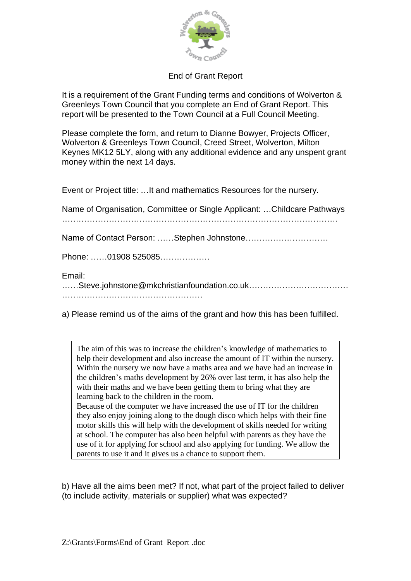

## End of Grant Report

It is a requirement of the Grant Funding terms and conditions of Wolverton & Greenleys Town Council that you complete an End of Grant Report. This report will be presented to the Town Council at a Full Council Meeting.

Please complete the form, and return to Dianne Bowyer, Projects Officer, Wolverton & Greenleys Town Council, Creed Street, Wolverton, Milton Keynes MK12 5LY, along with any additional evidence and any unspent grant money within the next 14 days.

Event or Project title: …It and mathematics Resources for the nursery.

Name of Organisation, Committee or Single Applicant: …Childcare Pathways ………………………………………………………………………………………. Name of Contact Person: ……Stephen Johnstone………………………… Phone: ……01908 525085……………… Email: ……Steve.johnstone@mkchristianfoundation.co.uk……………………………… ……………………………………………

a) Please remind us of the aims of the grant and how this has been fulfilled.

The aim of this was to increase the children's knowledge of mathematics to help their development and also increase the amount of IT within the nursery. Within the nursery we now have a maths area and we have had an increase in the children's maths development by 26% over last term, it has also help the with their maths and we have been getting them to bring what they are learning back to the children in the room. Because of the computer we have increased the use of IT for the children they also enjoy joining along to the dough disco which helps with their fine motor skills this will help with the development of skills needed for writing at school. The computer has also been helpful with parents as they have the

use of it for applying for school and also applying for funding. We allow the parents to use it and it gives us a chance to support them.

b) Have all the aims been met? If not, what part of the project failed to deliver (to include activity, materials or supplier) what was expected?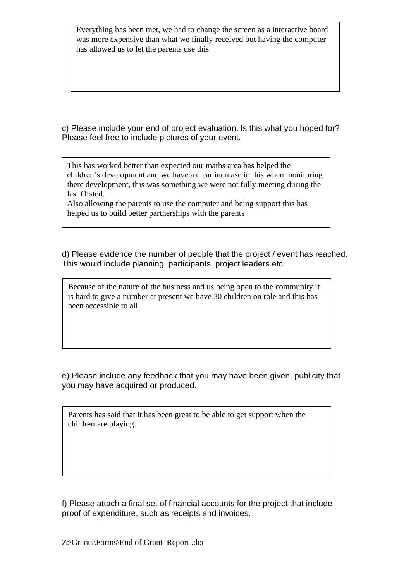Everything has been met, we had to change the screen as a interactive board was more expensive than what we finally received but having the computer has allowed us to let the parents use this

c) Please include your end of project evaluation. Is this what you hoped for? Please feel free to include pictures of your event.

This has worked better than expected our maths area has helped the children's development and we have a clear increase in this when monitoring there development, this was something we were not fully meeting during the last Ofsted.

Also allowing the parents to use the computer and being support this has helped us to build better partnerships with the parents

d) Please evidence the number of people that the project / event has reached. This would include planning, participants, project leaders etc.

Because of the nature of the business and us being open to the community it is hard to give a number at present we have 30 children on role and this has been accessible to all

e) Please include any feedback that you may have been given, publicity that you may have acquired or produced.

Parents has said that it has been great to be able to get support when the children are playing.

f) Please attach a final set of financial accounts for the project that include proof of expenditure, such as receipts and invoices.

Z:\Grants\Forms\End of Grant Report .doc